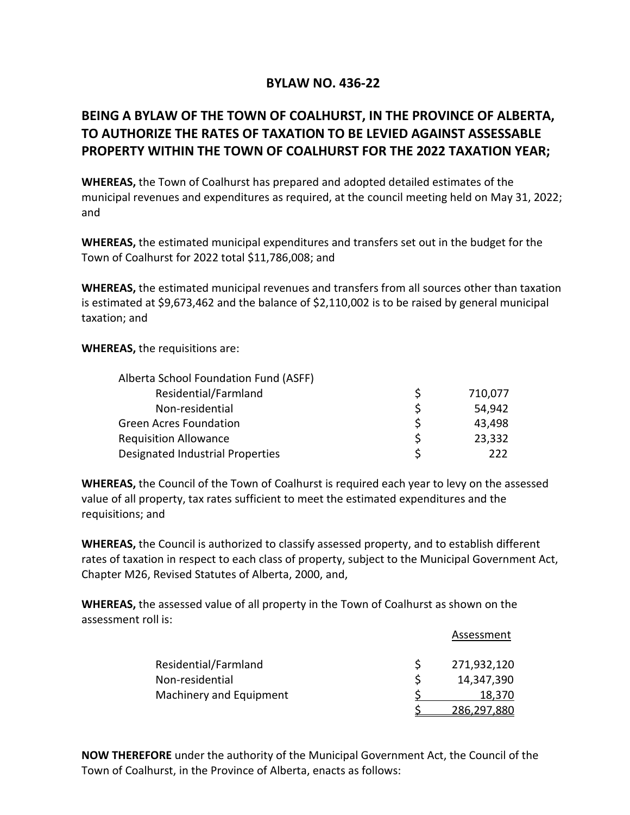## **BYLAW NO. 436-22**

## **BEING A BYLAW OF THE TOWN OF COALHURST, IN THE PROVINCE OF ALBERTA, TO AUTHORIZE THE RATES OF TAXATION TO BE LEVIED AGAINST ASSESSABLE PROPERTY WITHIN THE TOWN OF COALHURST FOR THE 2022 TAXATION YEAR;**

**WHEREAS,** the Town of Coalhurst has prepared and adopted detailed estimates of the municipal revenues and expenditures as required, at the council meeting held on May 31, 2022; and

**WHEREAS,** the estimated municipal expenditures and transfers set out in the budget for the Town of Coalhurst for 2022 total \$11,786,008; and

**WHEREAS,** the estimated municipal revenues and transfers from all sources other than taxation is estimated at \$9,673,462 and the balance of \$2,110,002 is to be raised by general municipal taxation; and

**WHEREAS,** the requisitions are:

| Alberta School Foundation Fund (ASFF)   |              |         |
|-----------------------------------------|--------------|---------|
| Residential/Farmland                    | <sub>S</sub> | 710,077 |
| Non-residential                         | S            | 54,942  |
| <b>Green Acres Foundation</b>           | <sub>S</sub> | 43,498  |
| <b>Requisition Allowance</b>            | <sup>S</sup> | 23,332  |
| <b>Designated Industrial Properties</b> | ς            | 222     |

**WHEREAS,** the Council of the Town of Coalhurst is required each year to levy on the assessed value of all property, tax rates sufficient to meet the estimated expenditures and the requisitions; and

**WHEREAS,** the Council is authorized to classify assessed property, and to establish different rates of taxation in respect to each class of property, subject to the Municipal Government Act, Chapter M26, Revised Statutes of Alberta, 2000, and,

**WHEREAS,** the assessed value of all property in the Town of Coalhurst as shown on the assessment roll is:

|                         |   | Assessment  |
|-------------------------|---|-------------|
| Residential/Farmland    | S | 271,932,120 |
| Non-residential         |   | 14,347,390  |
| Machinery and Equipment |   | 18,370      |
|                         |   | 286,297,880 |

**NOW THEREFORE** under the authority of the Municipal Government Act, the Council of the Town of Coalhurst, in the Province of Alberta, enacts as follows: